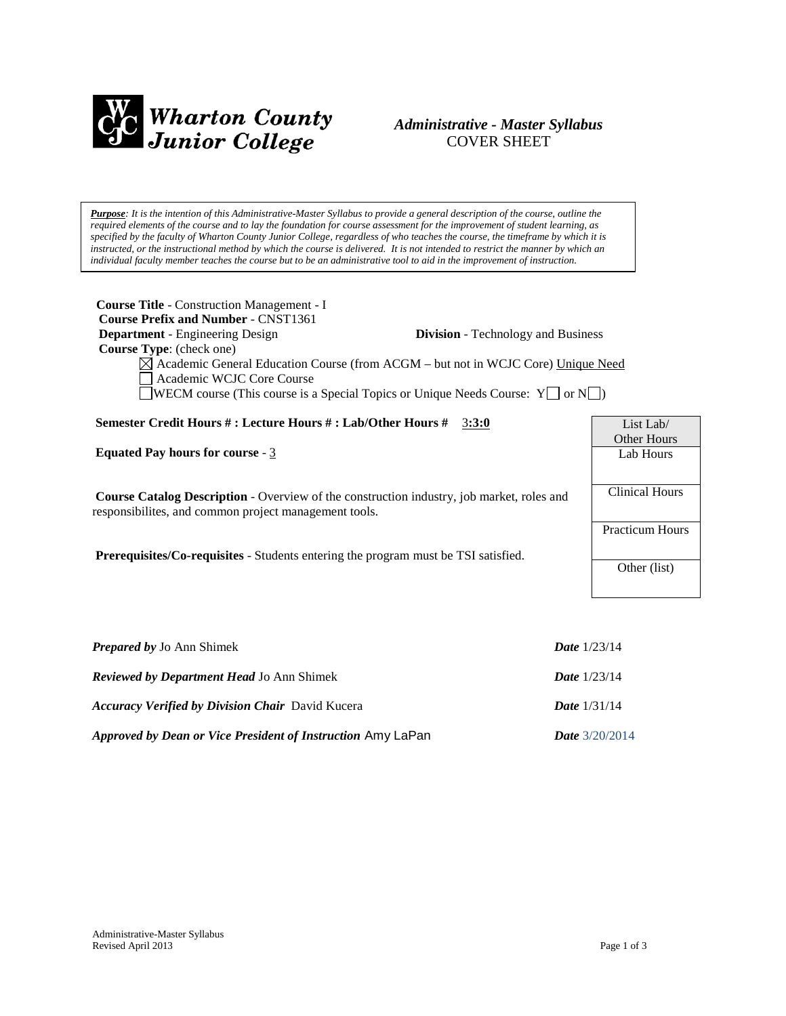

# *Administrative - Master Syllabus*  COVER SHEET

*Purpose: It is the intention of this Administrative-Master Syllabus to provide a general description of the course, outline the required elements of the course and to lay the foundation for course assessment for the improvement of student learning, as specified by the faculty of Wharton County Junior College, regardless of who teaches the course, the timeframe by which it is instructed, or the instructional method by which the course is delivered. It is not intended to restrict the manner by which an individual faculty member teaches the course but to be an administrative tool to aid in the improvement of instruction.*

| <b>Course Title - Construction Management - I</b><br><b>Course Prefix and Number - CNST1361</b>                                                                                                                                     |                                           |                        |
|-------------------------------------------------------------------------------------------------------------------------------------------------------------------------------------------------------------------------------------|-------------------------------------------|------------------------|
| <b>Department</b> - Engineering Design<br><b>Course Type:</b> (check one)                                                                                                                                                           | <b>Division</b> - Technology and Business |                        |
| $\boxtimes$ Academic General Education Course (from ACGM – but not in WCJC Core) Unique Need<br>Academic WCJC Core Course<br><b>SOMEON</b> COURSE (This course is a Special Topics or Unique Needs Course: $Y \cup \sigma N \cup$ ) |                                           |                        |
|                                                                                                                                                                                                                                     |                                           |                        |
| Semester Credit Hours #: Lecture Hours #: Lab/Other Hours #                                                                                                                                                                         | 3:3:0                                     | List Lab/              |
|                                                                                                                                                                                                                                     |                                           | <b>Other Hours</b>     |
| Equated Pay hours for course - $3$                                                                                                                                                                                                  |                                           | Lab Hours              |
|                                                                                                                                                                                                                                     |                                           |                        |
| <b>Course Catalog Description</b> - Overview of the construction industry, job market, roles and<br>responsibilities, and common project management tools.                                                                          |                                           | <b>Clinical Hours</b>  |
|                                                                                                                                                                                                                                     |                                           | <b>Practicum Hours</b> |
| <b>Prerequisites/Co-requisites - Students entering the program must be TSI satisfied.</b>                                                                                                                                           |                                           |                        |
|                                                                                                                                                                                                                                     |                                           | Other (list)           |
|                                                                                                                                                                                                                                     |                                           |                        |
|                                                                                                                                                                                                                                     |                                           |                        |
|                                                                                                                                                                                                                                     |                                           |                        |
|                                                                                                                                                                                                                                     |                                           |                        |

| <b>Prepared by Jo Ann Shimek</b>                                   | <b>Date</b> $1/23/14$   |
|--------------------------------------------------------------------|-------------------------|
| <b>Reviewed by Department Head Jo Ann Shimek</b>                   | <b>Date</b> $1/23/14$   |
| <b>Accuracy Verified by Division Chair</b> David Kucera            | <b>Date</b> $1/31/14$   |
| <i>Approved by Dean or Vice President of Instruction Amy LaPan</i> | <b>Date</b> $3/20/2014$ |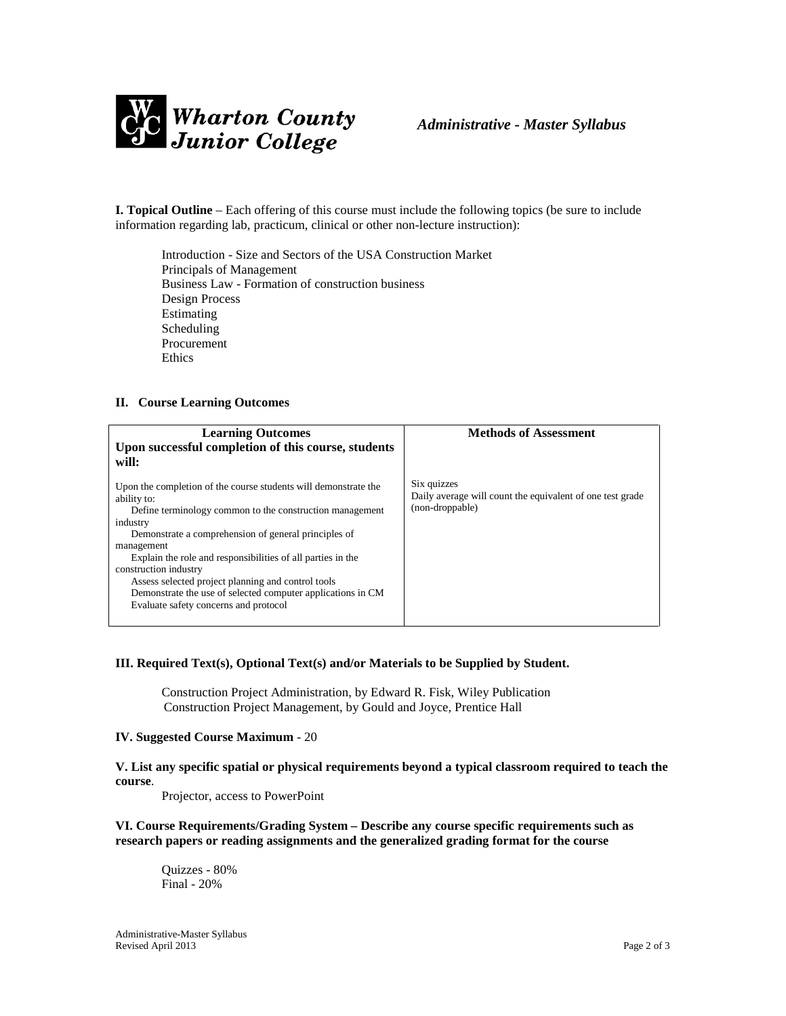

**I. Topical Outline** – Each offering of this course must include the following topics (be sure to include information regarding lab, practicum, clinical or other non-lecture instruction):

Introduction - Size and Sectors of the USA Construction Market Principals of Management Business Law - Formation of construction business Design Process Estimating Scheduling Procurement Ethics

#### **II. Course Learning Outcomes**

| <b>Learning Outcomes</b><br>Upon successful completion of this course, students<br>will:                                                                                                                                                                                                                                                                                                                                                                                           | <b>Methods of Assessment</b>                                                                |
|------------------------------------------------------------------------------------------------------------------------------------------------------------------------------------------------------------------------------------------------------------------------------------------------------------------------------------------------------------------------------------------------------------------------------------------------------------------------------------|---------------------------------------------------------------------------------------------|
| Upon the completion of the course students will demonstrate the<br>ability to:<br>Define terminology common to the construction management<br>industry<br>Demonstrate a comprehension of general principles of<br>management<br>Explain the role and responsibilities of all parties in the<br>construction industry<br>Assess selected project planning and control tools<br>Demonstrate the use of selected computer applications in CM<br>Evaluate safety concerns and protocol | Six quizzes<br>Daily average will count the equivalent of one test grade<br>(non-droppable) |

#### **III. Required Text(s), Optional Text(s) and/or Materials to be Supplied by Student.**

Construction Project Administration, by Edward R. Fisk, Wiley Publication Construction Project Management, by Gould and Joyce, Prentice Hall

#### **IV. Suggested Course Maximum** - 20

**V. List any specific spatial or physical requirements beyond a typical classroom required to teach the course**.

Projector, access to PowerPoint

**VI. Course Requirements/Grading System – Describe any course specific requirements such as research papers or reading assignments and the generalized grading format for the course**

Quizzes - 80% Final - 20%

Administrative-Master Syllabus Revised April 2013 Page 2 of 3